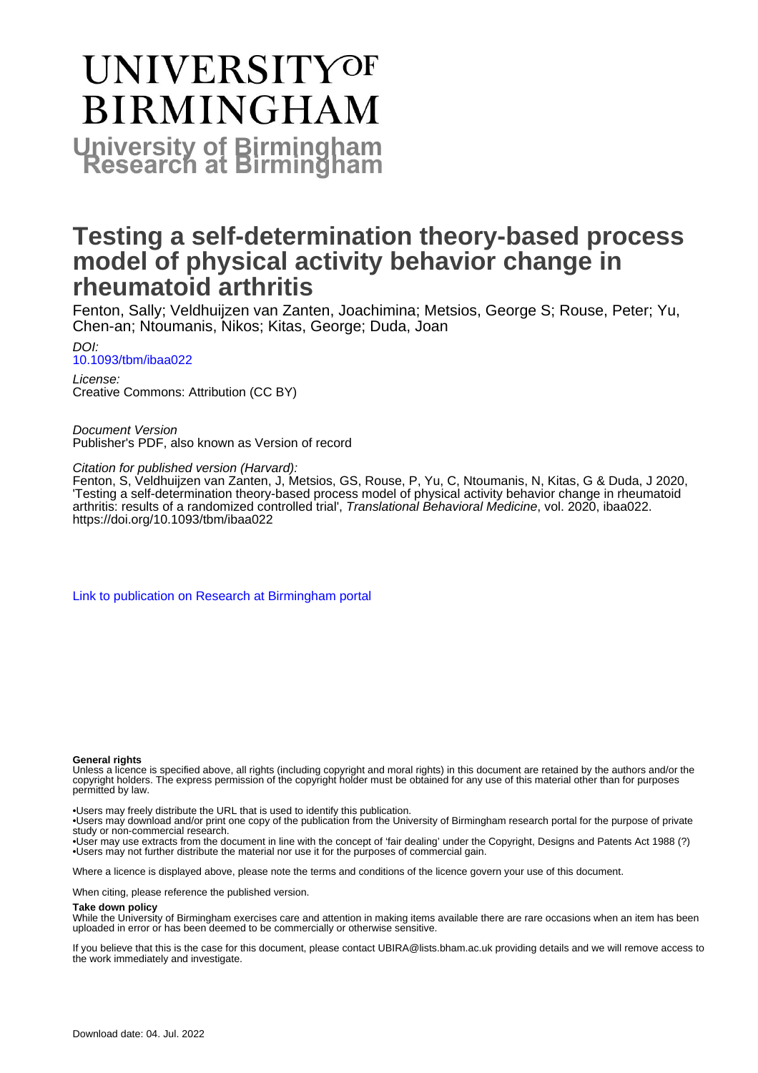## **UNIVERSITYOF BIRMINGHAM University of Birmingham**

### **Testing a self-determination theory-based process model of physical activity behavior change in rheumatoid arthritis**

Fenton, Sally; Veldhuijzen van Zanten, Joachimina; Metsios, George S; Rouse, Peter; Yu, Chen-an; Ntoumanis, Nikos; Kitas, George; Duda, Joan

DOI: [10.1093/tbm/ibaa022](https://doi.org/10.1093/tbm/ibaa022)

License: Creative Commons: Attribution (CC BY)

Document Version Publisher's PDF, also known as Version of record

Citation for published version (Harvard):

Fenton, S, Veldhuijzen van Zanten, J, Metsios, GS, Rouse, P, Yu, C, Ntoumanis, N, Kitas, G & Duda, J 2020, 'Testing a self-determination theory-based process model of physical activity behavior change in rheumatoid arthritis: results of a randomized controlled trial', Translational Behavioral Medicine, vol. 2020, ibaa022. <https://doi.org/10.1093/tbm/ibaa022>

[Link to publication on Research at Birmingham portal](https://birmingham.elsevierpure.com/en/publications/0c02d0ba-3ee0-4b26-a8de-19a6edc37867)

#### **General rights**

Unless a licence is specified above, all rights (including copyright and moral rights) in this document are retained by the authors and/or the copyright holders. The express permission of the copyright holder must be obtained for any use of this material other than for purposes permitted by law.

• Users may freely distribute the URL that is used to identify this publication.

• Users may download and/or print one copy of the publication from the University of Birmingham research portal for the purpose of private study or non-commercial research.

• User may use extracts from the document in line with the concept of 'fair dealing' under the Copyright, Designs and Patents Act 1988 (?) • Users may not further distribute the material nor use it for the purposes of commercial gain.

Where a licence is displayed above, please note the terms and conditions of the licence govern your use of this document.

When citing, please reference the published version.

#### **Take down policy**

While the University of Birmingham exercises care and attention in making items available there are rare occasions when an item has been uploaded in error or has been deemed to be commercially or otherwise sensitive.

If you believe that this is the case for this document, please contact UBIRA@lists.bham.ac.uk providing details and we will remove access to the work immediately and investigate.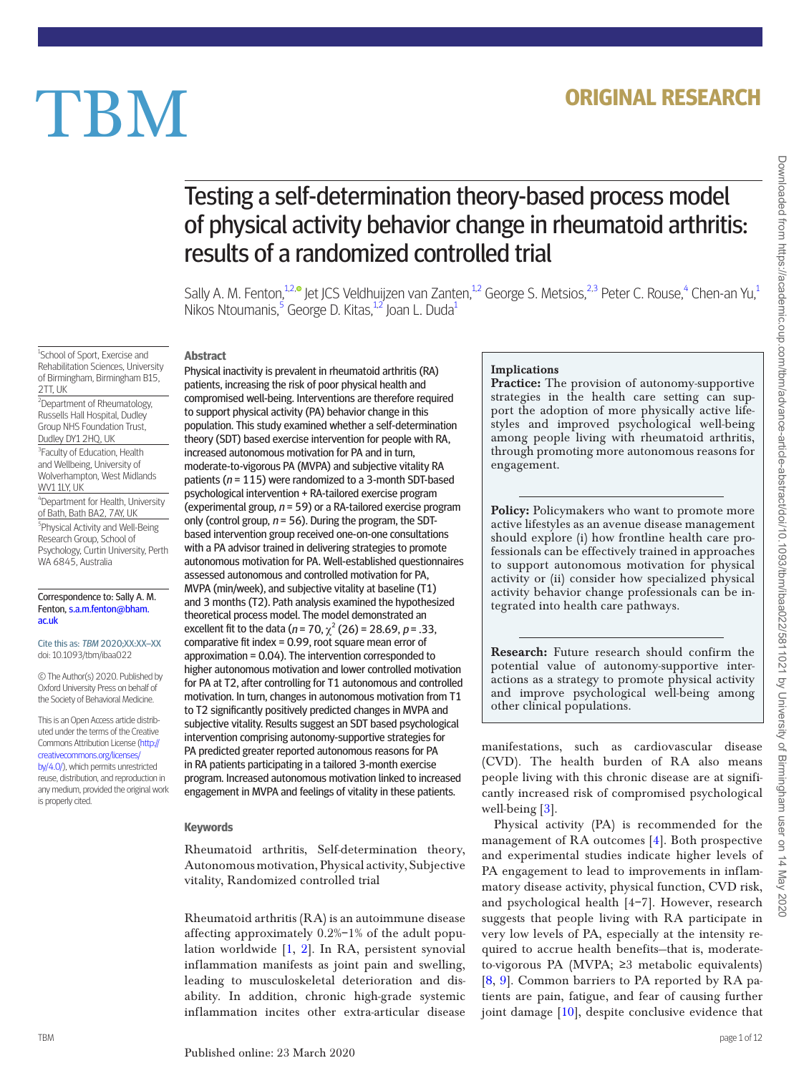## **ORIGINAL RESEARCH**

# **TBM**

## Testing a self-determination theory-based process model of physical activity behavior change in rheumatoid arthritis: results of a randomized controlled trial

Sally A. M. Fenton,<sup>[1](#page-1-0)2,®</sup> Jet JCS Veldhuijzen van Zanten,<sup>1[,2](#page-1-1)</sup> George S. Metsios[,](http://orcid.org/0000-0002-3732-1348)<sup>[2,](#page-1-1)[3](#page-1-2)</sup> Peter C. Rouse,<sup>[4](#page-1-3)</sup> Chen-an Yu,<sup>1</sup> Nikos Ntoumanis,<sup>[5](#page-1-4)</sup> George D. Kitas,<sup>[1](#page-1-0)[2](#page-1-1)'</sup> Joan L. Duda<sup>1</sup>

<span id="page-1-0"></span><sup>1</sup>School of Sport, Exercise and Rehabilitation Sciences, University of Birmingham, Birmingham B15, 2TT, UK

<span id="page-1-1"></span><sup>2</sup>Department of Rheumatology, Russells Hall Hospital, Dudley Group NHS Foundation Trust, Dudley DY1 2HQ, UK

<span id="page-1-2"></span><sup>3</sup>Faculty of Education, Health and Wellbeing, University of Wolverhampton, West Midlands WV1 1LY, UK

<span id="page-1-3"></span>4 Department for Health, University of Bath, Bath BA2, 7AY, UK

<span id="page-1-4"></span>5 Physical Activity and Well-Being Research Group, School of Psychology, Curtin University, Perth WA 6845, Australia

#### Correspondence to: Sally A. M. Fenton, [s.a.m.fenton@bham.](mailto:s.a.m.fenton@bham.ac.uk?subject=) [ac.uk](mailto:s.a.m.fenton@bham.ac.uk?subject=)

Cite this as: TBM 2020;XX:XX–XX doi: 10.1093/tbm/ibaa022

© The Author(s) 2020. Published by Oxford University Press on behalf of the Society of Behavioral Medicine.

This is an Open Access article distributed under the terms of the Creative Commons Attribution License [\(http://](http://creativecommons.org/licenses/by/4.0/) [creativecommons.org/licenses/](http://creativecommons.org/licenses/by/4.0/) [by/4.0/](http://creativecommons.org/licenses/by/4.0/)), which permits unrestricted reuse, distribution, and reproduction in any medium, provided the original work is properly cited.

#### **Abstract**

Physical inactivity is prevalent in rheumatoid arthritis (RA) patients, increasing the risk of poor physical health and compromised well-being. Interventions are therefore required to support physical activity (PA) behavior change in this population. This study examined whether a self-determination theory (SDT) based exercise intervention for people with RA, increased autonomous motivation for PA and in turn, moderate-to-vigorous PA (MVPA) and subjective vitality RA patients ( $n = 115$ ) were randomized to a 3-month SDT-based psychological intervention + RA-tailored exercise program (experimental group,  $n = 59$ ) or a RA-tailored exercise program only (control group,  $n = 56$ ). During the program, the SDTbased intervention group received one-on-one consultations with a PA advisor trained in delivering strategies to promote autonomous motivation for PA. Well-established questionnaires assessed autonomous and controlled motivation for PA, MVPA (min/week), and subjective vitality at baseline (T1) and 3 months (T2). Path analysis examined the hypothesized theoretical process model. The model demonstrated an excellent fit to the data ( $n = 70$ ,  $\chi^2$  (26) = 28.69,  $p = .33$ , comparative fit index = 0.99, root square mean error of approximation = 0.04). The intervention corresponded to higher autonomous motivation and lower controlled motivation for PA at T2, after controlling for T1 autonomous and controlled motivation. In turn, changes in autonomous motivation from T1 to T2 significantly positively predicted changes in MVPA and subjective vitality. Results suggest an SDT based psychological intervention comprising autonomy-supportive strategies for PA predicted greater reported autonomous reasons for PA in RA patients participating in a tailored 3-month exercise program. Increased autonomous motivation linked to increased engagement in MVPA and feelings of vitality in these patients.

#### **Keywords**

Rheumatoid arthritis, Self-determination theory, Autonomous motivation, Physical activity, Subjective vitality, Randomized controlled trial

Rheumatoid arthritis (RA) is an autoimmune disease affecting approximately 0.2%–1% of the adult population worldwide [[1](#page-11-0), [2\]](#page-11-1). In RA, persistent synovial inflammation manifests as joint pain and swelling, leading to musculoskeletal deterioration and disability. In addition, chronic high-grade systemic inflammation incites other extra-articular disease

#### Implications

Practice: The provision of autonomy-supportive strategies in the health care setting can support the adoption of more physically active lifestyles and improved psychological well-being among people living with rheumatoid arthritis, through promoting more autonomous reasons for engagement.

Policy: Policymakers who want to promote more active lifestyles as an avenue disease management should explore (i) how frontline health care professionals can be effectively trained in approaches to support autonomous motivation for physical activity or (ii) consider how specialized physical activity behavior change professionals can be integrated into health care pathways.

Research: Future research should confirm the potential value of autonomy-supportive interactions as a strategy to promote physical activity and improve psychological well-being among other clinical populations.

manifestations, such as cardiovascular disease (CVD). The health burden of RA also means people living with this chronic disease are at significantly increased risk of compromised psychological well-being [\[3](#page-11-2)].

Physical activity (PA) is recommended for the management of RA outcomes [[4\]](#page-11-3). Both prospective and experimental studies indicate higher levels of PA engagement to lead to improvements in inflammatory disease activity, physical function, CVD risk, and psychological health [4–7]. However, research suggests that people living with RA participate in very low levels of PA, especially at the intensity required to accrue health benefits—that is, moderateto-vigorous PA (MVPA; ≥3 metabolic equivalents) [[8,](#page-12-0) [9\]](#page-12-1). Common barriers to PA reported by RA patients are pain, fatigue, and fear of causing further joint damage [\[10\]](#page-12-2), despite conclusive evidence that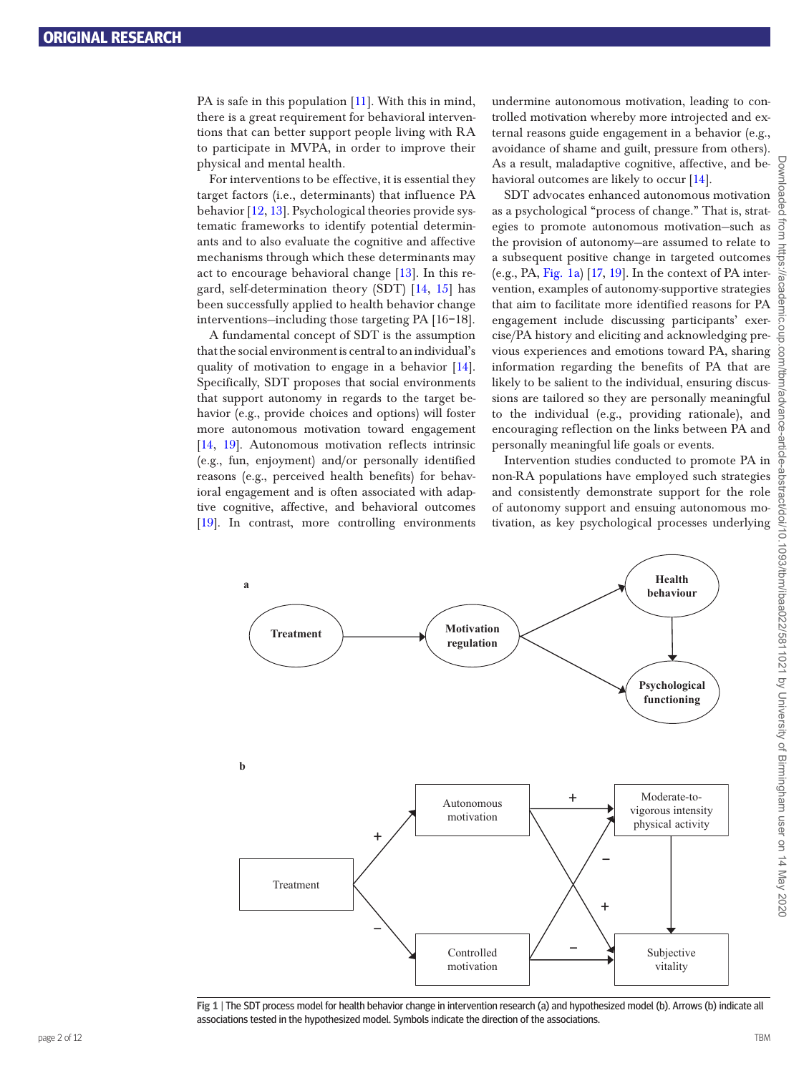PA is safe in this population [[11](#page-12-3)]. With this in mind, there is a great requirement for behavioral interventions that can better support people living with RA to participate in MVPA, in order to improve their physical and mental health.

For interventions to be effective, it is essential they target factors (i.e., determinants) that influence PA behavior [[12](#page-12-4), [13](#page-12-5)]. Psychological theories provide systematic frameworks to identify potential determinants and to also evaluate the cognitive and affective mechanisms through which these determinants may act to encourage behavioral change [[13](#page-12-5)]. In this regard, self-determination theory (SDT) [\[14,](#page-12-6) [15](#page-12-7)] has been successfully applied to health behavior change interventions—including those targeting PA [16–18].

A fundamental concept of SDT is the assumption that the social environment is central to an individual's quality of motivation to engage in a behavior [[14\]](#page-12-6). Specifically, SDT proposes that social environments that support autonomy in regards to the target behavior (e.g., provide choices and options) will foster more autonomous motivation toward engagement [[14,](#page-12-6) [19\]](#page-12-8). Autonomous motivation reflects intrinsic (e.g., fun, enjoyment) and/or personally identified reasons (e.g., perceived health benefits) for behavioral engagement and is often associated with adaptive cognitive, affective, and behavioral outcomes [[19](#page-12-8)]. In contrast, more controlling environments

undermine autonomous motivation, leading to controlled motivation whereby more introjected and external reasons guide engagement in a behavior (e.g., avoidance of shame and guilt, pressure from others). As a result, maladaptive cognitive, affective, and be-havioral outcomes are likely to occur [\[14](#page-12-6)].

SDT advocates enhanced autonomous motivation as a psychological "process of change." That is, strategies to promote autonomous motivation—such as the provision of autonomy—are assumed to relate to a subsequent positive change in targeted outcomes (e.g., PA, [Fig. 1a\)](#page-2-0) [\[17,](#page-12-9) [19\]](#page-12-8). In the context of PA intervention, examples of autonomy-supportive strategies that aim to facilitate more identified reasons for PA engagement include discussing participants' exercise/PA history and eliciting and acknowledging previous experiences and emotions toward PA, sharing information regarding the benefits of PA that are likely to be salient to the individual, ensuring discussions are tailored so they are personally meaningful to the individual (e.g., providing rationale), and encouraging reflection on the links between PA and personally meaningful life goals or events.

Intervention studies conducted to promote PA in non-RA populations have employed such strategies and consistently demonstrate support for the role of autonomy support and ensuing autonomous motivation, as key psychological processes underlying



<span id="page-2-0"></span>**Fig 1** | The SDT process model for health behavior change in intervention research (a) and hypothesized model (b). Arrows (b) indicate all associations tested in the hypothesized model. Symbols indicate the direction of the associations.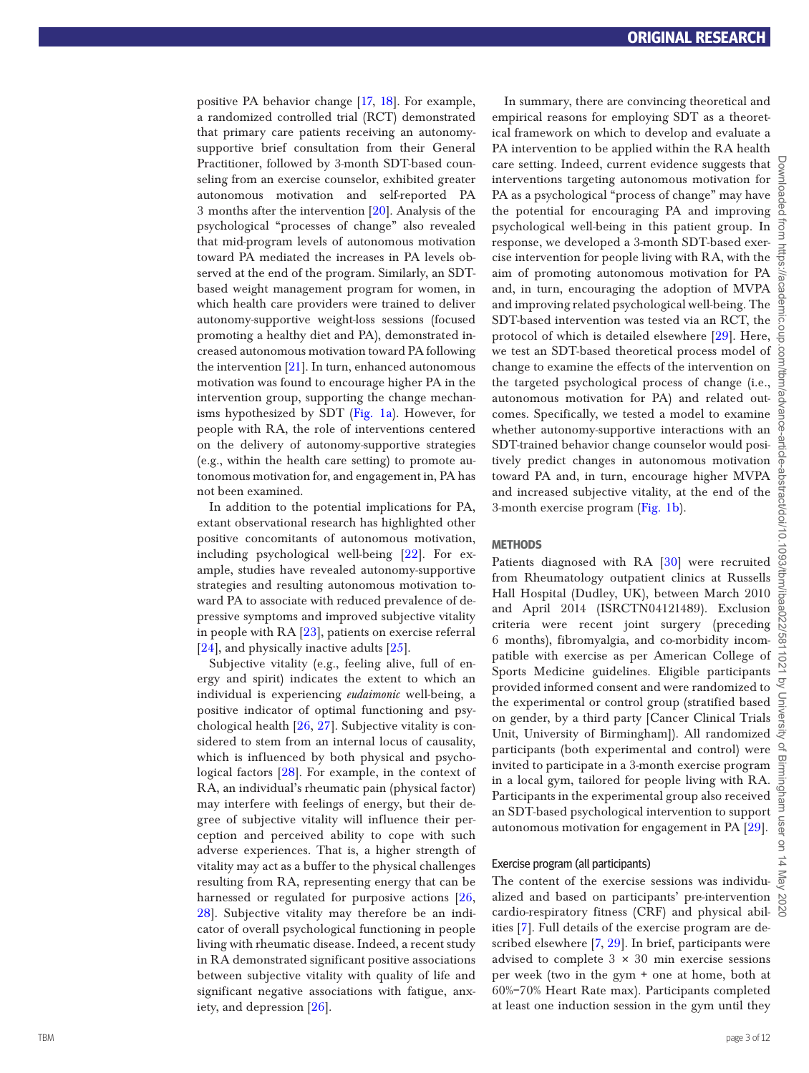positive PA behavior change [[17](#page-12-9), [18](#page-12-10)]. For example, a randomized controlled trial (RCT) demonstrated that primary care patients receiving an autonomysupportive brief consultation from their General Practitioner, followed by 3-month SDT-based coun seling from an exercise counselor, exhibited greater autonomous motivation and self-reported PA 3 months after the intervention [\[20](#page-12-11)]. Analysis of the psychological "processes of change" also revealed that mid-program levels of autonomous motivation toward PA mediated the increases in PA levels ob served at the end of the program. Similarly, an SDTbased weight management program for women, in which health care providers were trained to deliver autonomy-supportive weight-loss sessions (focused promoting a healthy diet and PA), demonstrated in creased autonomous motivation toward PA following the intervention [\[21\]](#page-12-12). In turn, enhanced autonomous motivation was found to encourage higher PA in the intervention group, supporting the change mechan isms hypothesized by SDT [\(Fig. 1a\)](#page-2-0). However, for people with RA, the role of interventions centered on the delivery of autonomy-supportive strategies (e.g., within the health care setting) to promote au tonomous motivation for, and engagement in, PA has not been examined.

In addition to the potential implications for PA, extant observational research has highlighted other positive concomitants of autonomous motivation, including psychological well-being [[22\]](#page-12-13). For ex ample, studies have revealed autonomy-supportive strategies and resulting autonomous motivation to ward PA to associate with reduced prevalence of de pressive symptoms and improved subjective vitality in people with RA [\[23](#page-12-14)], patients on exercise referral [[24\]](#page-12-15), and physically inactive adults [\[25](#page-12-16)].

Subjective vitality (e.g., feeling alive, full of en ergy and spirit) indicates the extent to which an individual is experiencing *eudaimonic* well-being, a positive indicator of optimal functioning and psy chological health [[26,](#page-12-17) [27\]](#page-12-18). Subjective vitality is con sidered to stem from an internal locus of causality, which is influenced by both physical and psycho logical factors [\[28](#page-12-19)]. For example, in the context of RA, an individual's rheumatic pain (physical factor) may interfere with feelings of energy, but their de gree of subjective vitality will influence their perception and perceived ability to cope with such adverse experiences. That is, a higher strength of vitality may act as a buffer to the physical challenges resulting from RA, representing energy that can be harnessed or regulated for purposive actions [[26,](#page-12-17) [28](#page-12-19)]. Subjective vitality may therefore be an indicator of overall psychological functioning in people living with rheumatic disease. Indeed, a recent study in RA demonstrated significant positive associations between subjective vitality with quality of life and significant negative associations with fatigue, anx iety, and depression [\[26](#page-12-17)].

In summary, there are convincing theoretical and empirical reasons for employing SDT as a theoretical framework on which to develop and evaluate a PA intervention to be applied within the RA health care setting. Indeed, current evidence suggests that  $\frac{6}{9}$ interventions targeting autonomous motivation for PA as a psychological "process of change" may have the potential for encouraging PA and improving psychological well-being in this patient group. In response, we developed a 3-month SDT-based exerresponse, we developed a 3-month SD I-based exercise intervention for people living with RA, with the  $\frac{1}{60}$ aim of promoting autonomous motivation for PA and, in turn, encouraging the adoption of MVPA and improving related psychological well-being. The SDT-based intervention was tested via an RCT, the protocol of which is detailed elsewhere [\[29](#page-12-20)]. Here, we test an SDT-based theoretical process model of change to examine the effects of the intervention on the targeted psychological process of change (i.e., autonomous motivation for PA) and related outcomes. Specifically, we tested a model to examine whether autonomy-supportive interactions with an SDT-trained behavior change counselor would posi tively predict changes in autonomous motivation toward PA and, in turn, encourage higher MVPA and increased subjective vitality, at the end of the 3-month exercise program ([Fig. 1b](#page-2-0)).

#### **METHODS**

Patients diagnosed with RA [[30\]](#page-12-21) were recruited from Rheumatology outpatient clinics at Russells Hall Hospital (Dudley, UK), between March 2010 and April 2014 (ISRCTN04121489). Exclusion criteria were recent joint surgery (preceding 6 months), fibromyalgia, and co-morbidity incom patible with exercise as per American College of Sports Medicine guidelines. Eligible participants provided informed consent and were randomized to  $\sqrt{\xi}$ the experimental or control group (stratified based  $\frac{1}{2}$ on gender, by a third party [Cancer Clinical Trials  $\frac{3}{2}$ Unit, University of Birmingham]). All randomized participants (both experimental and control) were  $\frac{a}{n}$  invited to participate in a 3-month exercise program in a local gym, tailored for people living with RA. Participants in the experimental group also received an invited to participate in a 3-month exercise program in a local gym, tailored for people living with RA. Participants in the experimental group also received an SDT-based psychological intervention to support autonomous motivation for engagement in PA [\[29](#page-12-20)].

#### Exercise program (all participants)

The content of the exercise sessions was individualized and based on participants' pre-intervention cardio-respiratory fitness (CRF) and physical abil - ities [[7](#page-12-22)]. Full details of the exercise program are described elsewhere [ [7](#page-12-22), [29](#page-12-20)]. In brief, participants were advised to complete  $3 \times 30$  min exercise sessions per week (two in the gym + one at home, both at 60%–70% Heart Rate max). Participants completed at least one induction session in the gym until they

lash  $\overline{a}$ 

Downloaded from https://academic.oup.com/tbm/advance-article-abstract/doi/10.1093/tbm/ibaa022/5811021 by University of Birmingham user on 14 May 2020

abstract/doi/10.1093/tbm/ib

SO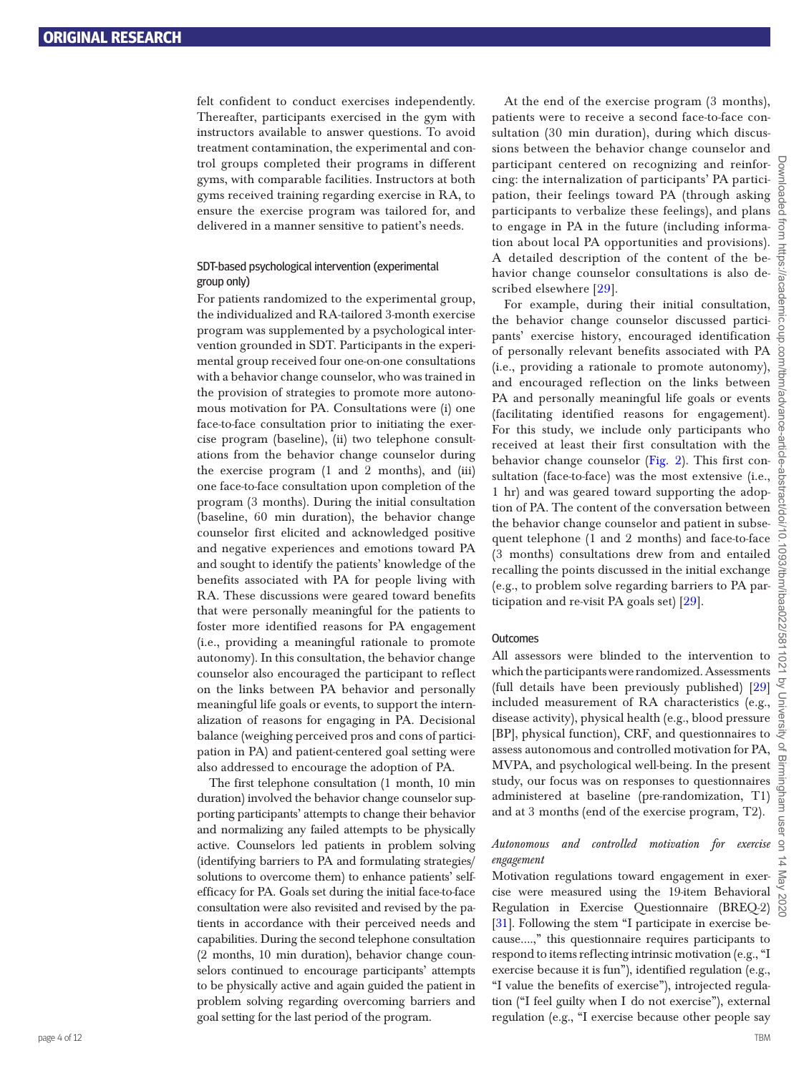felt confident to conduct exercises independently. Thereafter, participants exercised in the gym with instructors available to answer questions. To avoid treatment contamination, the experimental and control groups completed their programs in different gyms, with comparable facilities. Instructors at both gyms received training regarding exercise in RA, to ensure the exercise program was tailored for, and delivered in a manner sensitive to patient's needs.

#### SDT-based psychological intervention (experimental group only)

For patients randomized to the experimental group, the individualized and RA-tailored 3-month exercise program was supplemented by a psychological intervention grounded in SDT. Participants in the experimental group received four one-on-one consultations with a behavior change counselor, who was trained in the provision of strategies to promote more autonomous motivation for PA. Consultations were (i) one face-to-face consultation prior to initiating the exercise program (baseline), (ii) two telephone consultations from the behavior change counselor during the exercise program (1 and 2 months), and (iii) one face-to-face consultation upon completion of the program (3 months). During the initial consultation (baseline, 60 min duration), the behavior change counselor first elicited and acknowledged positive and negative experiences and emotions toward PA and sought to identify the patients' knowledge of the benefits associated with PA for people living with RA. These discussions were geared toward benefits that were personally meaningful for the patients to foster more identified reasons for PA engagement (i.e., providing a meaningful rationale to promote autonomy). In this consultation, the behavior change counselor also encouraged the participant to reflect on the links between PA behavior and personally meaningful life goals or events, to support the internalization of reasons for engaging in PA. Decisional balance (weighing perceived pros and cons of participation in PA) and patient-centered goal setting were also addressed to encourage the adoption of PA.

The first telephone consultation (1 month, 10 min duration) involved the behavior change counselor supporting participants' attempts to change their behavior and normalizing any failed attempts to be physically active. Counselors led patients in problem solving (identifying barriers to PA and formulating strategies/ solutions to overcome them) to enhance patients' selfefficacy for PA. Goals set during the initial face-to-face consultation were also revisited and revised by the patients in accordance with their perceived needs and capabilities. During the second telephone consultation (2 months, 10 min duration), behavior change counselors continued to encourage participants' attempts to be physically active and again guided the patient in problem solving regarding overcoming barriers and goal setting for the last period of the program.

At the end of the exercise program (3 months), patients were to receive a second face-to-face consultation (30 min duration), during which discussions between the behavior change counselor and participant centered on recognizing and reinforcing: the internalization of participants' PA participation, their feelings toward PA (through asking participants to verbalize these feelings), and plans to engage in PA in the future (including information about local PA opportunities and provisions). A detailed description of the content of the behavior change counselor consultations is also described elsewhere [[29\]](#page-12-20).

For example, during their initial consultation, the behavior change counselor discussed participants' exercise history, encouraged identification of personally relevant benefits associated with PA (i.e., providing a rationale to promote autonomy), and encouraged reflection on the links between PA and personally meaningful life goals or events (facilitating identified reasons for engagement). For this study, we include only participants who received at least their first consultation with the behavior change counselor ([Fig. 2\)](#page-5-0). This first consultation (face-to-face) was the most extensive (i.e., 1 hr) and was geared toward supporting the adoption of PA. The content of the conversation between the behavior change counselor and patient in subsequent telephone (1 and 2 months) and face-to-face (3 months) consultations drew from and entailed recalling the points discussed in the initial exchange (e.g., to problem solve regarding barriers to PA participation and re-visit PA goals set) [[29\]](#page-12-20).

#### **Outcomes**

All assessors were blinded to the intervention to which the participants were randomized. Assessments (full details have been previously published) [\[29](#page-12-20)] included measurement of RA characteristics (e.g., disease activity), physical health (e.g., blood pressure [BP], physical function), CRF, and questionnaires to assess autonomous and controlled motivation for PA,  $\frac{60}{2}$ <br>MVPA, and psychological well-being. In the present study, our focus was on responses to questionnaires administered at baseline (pre-randomization, T1) and at MVPA, and psychological well-being. In the present study, our focus was on responses to questionnaires administered at baseline (pre-randomization, T1) and at 3 months (end of the exercise program, T2).

#### *Autonomous and controlled motivation for exercise engagement*

Motivation regulations toward engagement in exercise were measured using the 19-item Behavioral Regulation in Exercise Questionnaire (BREQ-2) [[31](#page-12-23)]. Following the stem "I participate in exercise because….," this questionnaire requires participants to respond to items reflecting intrinsic motivation (e.g., "I exercise because it is fun"), identified regulation (e.g., "I value the benefits of exercise"), introjected regulation ("I feel guilty when I do not exercise"), external regulation (e.g., "I exercise because other people say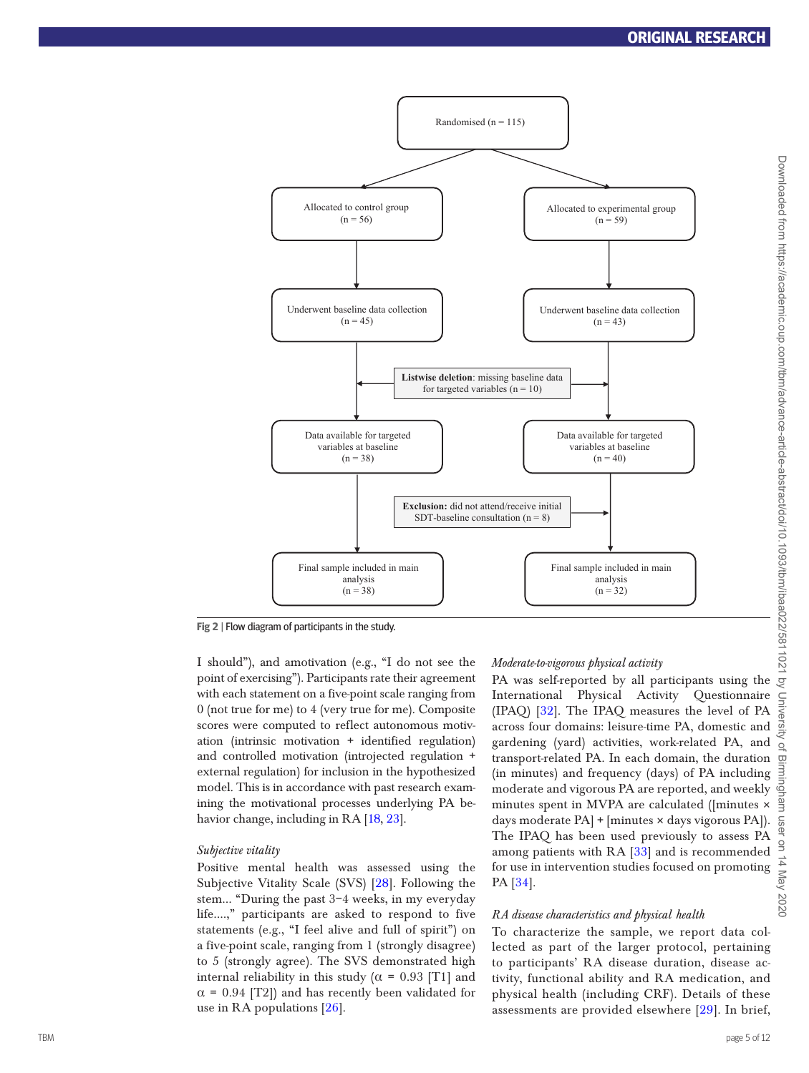

<span id="page-5-0"></span>**Fig 2** | Flow diagram of participants in the study.

I should"), and amotivation (e.g., "I do not see the point of exercising"). Participants rate their agreement with each statement on a five-point scale ranging from 0 (not true for me) to 4 (very true for me). Composite scores were computed to reflect autonomous motivation (intrinsic motivation + identified regulation) and controlled motivation (introjected regulation + external regulation) for inclusion in the hypothesized model. This is in accordance with past research examining the motivational processes underlying PA behavior change, including in RA [[18,](#page-12-10) [23](#page-12-14)].

#### *Subjective vitality*

Positive mental health was assessed using the Subjective Vitality Scale (SVS) [\[28](#page-12-19)]. Following the stem… "During the past 3–4 weeks, in my everyday life….," participants are asked to respond to five statements (e.g., "I feel alive and full of spirit") on a five-point scale, ranging from 1 (strongly disagree) to 5 (strongly agree). The SVS demonstrated high internal reliability in this study ( $\alpha$  = 0.93 [T1] and  $\alpha$  = 0.94 [T2]) and has recently been validated for use in RA populations [\[26](#page-12-17)].

#### *Moderate-to-vigorous physical activity*

PA was self-reported by all participants using the International Physical Activity Questionnaire (IPAQ) [[32\]](#page-12-24). The IPAQ measures the level of PA across four domains: leisure-time PA, domestic and gardening (yard) activities, work-related PA, and transport-related PA. In each domain, the duration (in minutes) and frequency (days) of PA including moderate and vigorous PA are reported, and weekly minutes spent in MVPA are calculated ([minutes × days moderate PA] + [minutes × days vigorous PA]). The IPAQ has been used previously to assess PA among patients with RA [[33\]](#page-12-25) and is recommended for use in intervention studies focused on promoting PA [\[34](#page-12-26)].

#### *RA disease characteristics and physical health*

To characterize the sample, we report data collected as part of the larger protocol, pertaining to participants' RA disease duration, disease activity, functional ability and RA medication, and physical health (including CRF). Details of these assessments are provided elsewhere [[29](#page-12-20)]. In brief,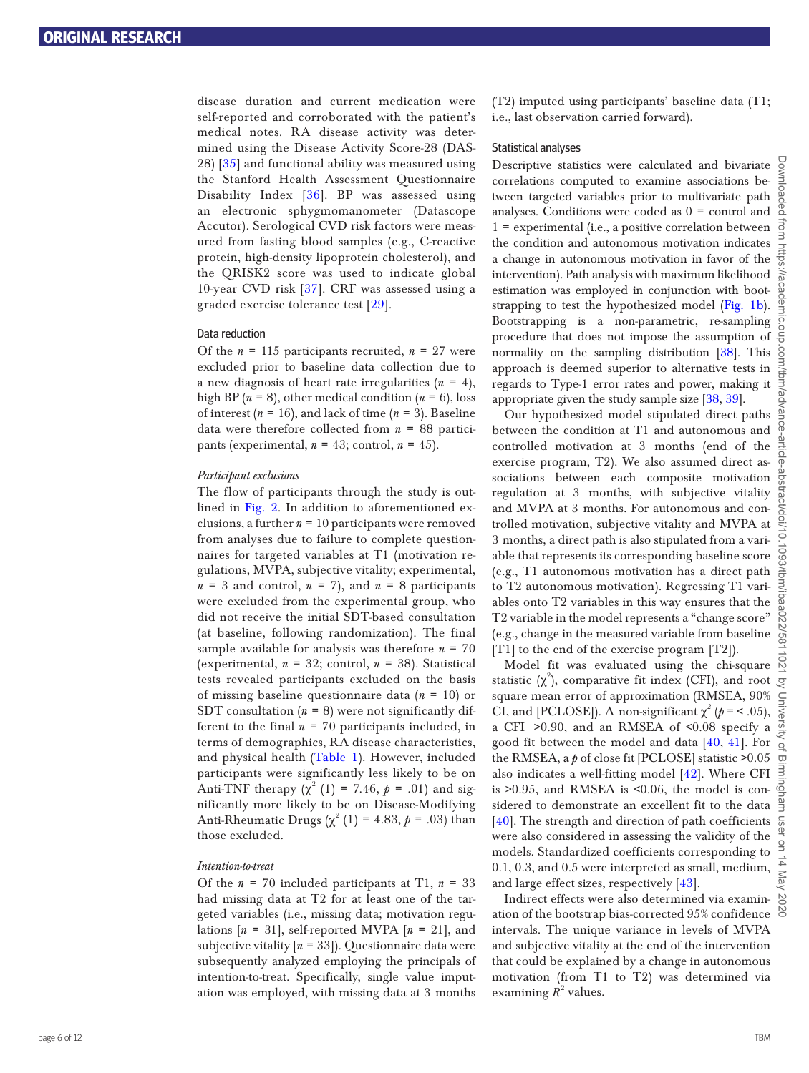disease duration and current medication were self-reported and corroborated with the patient's medical notes. RA disease activity was determined using the Disease Activity Score-28 (DAS-28) [[35](#page-12-27)] and functional ability was measured using the Stanford Health Assessment Questionnaire Disability Index [\[36\]](#page-12-28). BP was assessed using an electronic sphygmomanometer (Datascope Accutor). Serological CVD risk factors were measured from fasting blood samples (e.g., C-reactive protein, high-density lipoprotein cholesterol), and the QRISK2 score was used to indicate global 10-year CVD risk [[37](#page-12-29)]. CRF was assessed using a graded exercise tolerance test [[29](#page-12-20)].

#### Data reduction

Of the  $n = 115$  participants recruited,  $n = 27$  were excluded prior to baseline data collection due to a new diagnosis of heart rate irregularities  $(n = 4)$ , high BP  $(n = 8)$ , other medical condition  $(n = 6)$ , loss of interest  $(n = 16)$ , and lack of time  $(n = 3)$ . Baseline data were therefore collected from  $n = 88$  participants (experimental,  $n = 43$ ; control,  $n = 45$ ).

#### *Participant exclusions*

The flow of participants through the study is outlined in [Fig. 2](#page-5-0). In addition to aforementioned exclusions, a further  $n = 10$  participants were removed from analyses due to failure to complete questionnaires for targeted variables at T1 (motivation regulations, MVPA, subjective vitality; experimental,  $n = 3$  and control,  $n = 7$ ), and  $n = 8$  participants were excluded from the experimental group, who did not receive the initial SDT-based consultation (at baseline, following randomization). The final sample available for analysis was therefore  $n = 70$ (experimental,  $n = 32$ ; control,  $n = 38$ ). Statistical tests revealed participants excluded on the basis of missing baseline questionnaire data (*n* = 10) or SDT consultation  $(n = 8)$  were not significantly different to the final  $n = 70$  participants included, in terms of demographics, RA disease characteristics, and physical health [\(Table 1\)](#page-7-0). However, included participants were significantly less likely to be on Anti-TNF therapy  $(χ² (1) = 7.46, ρ = .01)$  and significantly more likely to be on Disease-Modifying Anti-Rheumatic Drugs  $(χ<sup>2</sup> (1) = 4.83, *p* = .03)$  than those excluded.

#### *Intention-to-treat*

Of the  $n = 70$  included participants at T1,  $n = 33$ had missing data at T2 for at least one of the targeted variables (i.e., missing data; motivation regulations  $[n = 31]$ , self-reported MVPA  $[n = 21]$ , and subjective vitality  $[n = 33]$ ). Questionnaire data were subsequently analyzed employing the principals of intention-to-treat. Specifically, single value imputation was employed, with missing data at 3 months

(T2) imputed using participants' baseline data (T1; i.e., last observation carried forward).

#### Statistical analyses

Descriptive statistics were calculated and bivariate correlations computed to examine associations between targeted variables prior to multivariate path analyses. Conditions were coded as  $0 =$  control and  $\frac{8}{5}$ 1 = experimental (i.e., a positive correlation between  $\frac{3}{9}$ the condition and autonomous motivation indicates a change in autonomous motivation in favor of the intervention). Path analysis with maximum likelihood estimation was employed in conjunction with bootstrapping to test the hypothesized model [\(Fig. 1b](#page-2-0)). Bootstrapping is a non-parametric, re-sampling procedure that does not impose the assumption of normality on the sampling distribution [\[38\]](#page-12-30). This approach is deemed superior to alternative tests in regards to Type-1 error rates and power, making it appropriate given the study sample size [[38](#page-12-30), [39\]](#page-12-31).

Our hypothesized model stipulated direct paths between the condition at T1 and autonomous and controlled motivation at 3 months (end of the exercise program, T2). We also assumed direct associations between each composite motivation regulation at 3 months, with subjective vitality and MVPA at 3 months. For autonomous and controlled motivation, subjective vitality and MVPA at 3 months, a direct path is also stipulated from a variable that represents its corresponding baseline score (e.g., T1 autonomous motivation has a direct path to T2 autonomous motivation). Regressing T1 variables onto T2 variables in this way ensures that the T2 variable in the model represents a "change score" (e.g., change in the measured variable from baseline [T1] to the end of the exercise program [T2]).

Model fit was evaluated using the chi-square statistic  $(\chi^2)$ , comparative fit index (CFI), and root square mean error of approximation (RMSEA, 90% CI, and [PCLOSE]). A non-significant  $\chi^2$  ( $p =$  < .05), a CFI >0.90, and an RMSEA of <0.08 specify a good fit between the model and data [\[40](#page-12-32), [41](#page-12-33)]. For the RMSEA, a *p* of close fit [PCLOSE] statistic >0.05 also indicates a well-fitting model [\[42](#page-12-34)]. Where CFI is >0.95, and RMSEA is <0.06, the model is con- $\Phi$ sidered to demonstrate an excellent fit to the data [\[40](#page-12-32)]. The strength and direction of path coefficients were also considered in assessing the validity of the models. Standardized coefficients corresponding to 0.1, 0.3, and 0.5 were interpreted as small, medium, and large effect sizes, respectively [\[43](#page-12-35)].

Indirect effects were also determined via examination of the bootstrap bias-corrected 95% confidence intervals. The unique variance in levels of MVPA and subjective vitality at the end of the intervention that could be explained by a change in autonomous motivation (from T1 to T2) was determined via examining  $R^2$  values.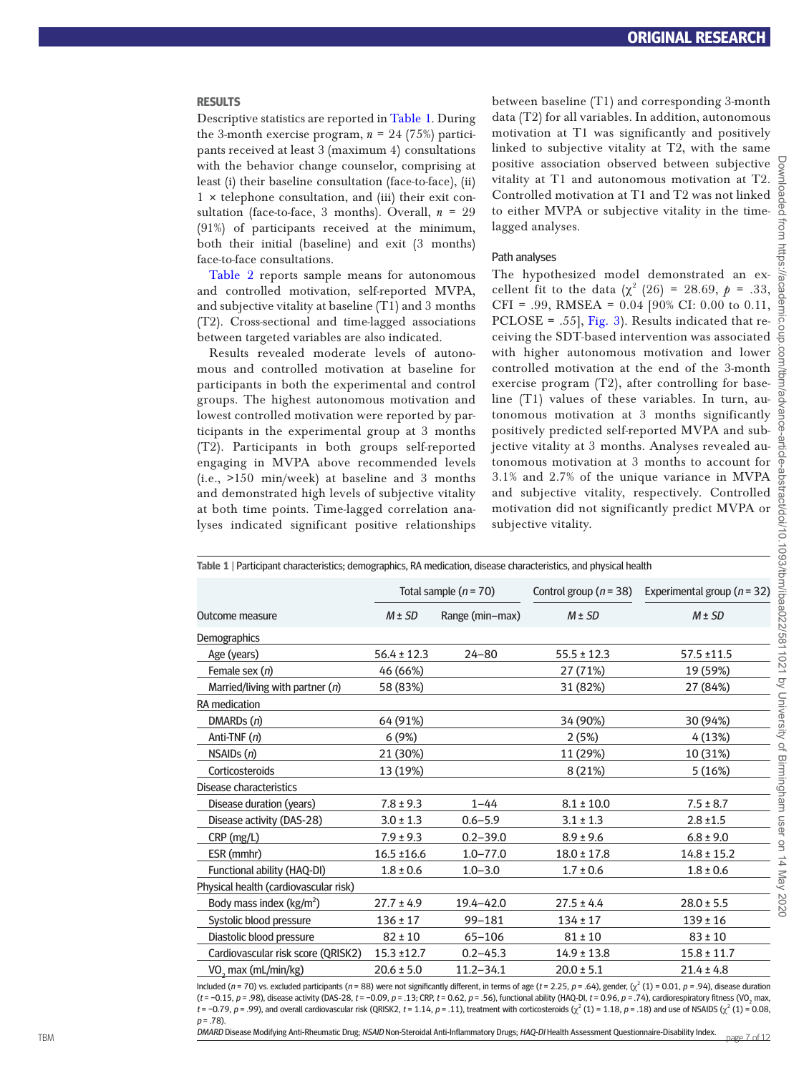#### **RESULTS**

Descriptive statistics are reported in [Table 1.](#page-7-0) During the 3-month exercise program,  $n = 24$  (75%) participants received at least 3 (maximum 4) consultations with the behavior change counselor, comprising at least (i) their baseline consultation (face-to-face), (ii)  $1 \times$  telephone consultation, and (iii) their exit consultation (face-to-face, 3 months). Overall,  $n = 29$ (91%) of participants received at the minimum, both their initial (baseline) and exit (3 months) face-to-face consultations.

Table 2 reports sample means for autonomous and controlled motivation, self-reported MVPA, and subjective vitality at baseline (T1) and 3 months (T2). Cross-sectional and time-lagged associations between targeted variables are also indicated.

Results revealed moderate levels of autonomous and controlled motivation at baseline for participants in both the experimental and control groups. The highest autonomous motivation and lowest controlled motivation were reported by participants in the experimental group at 3 months (T2). Participants in both groups self-reported engaging in MVPA above recommended levels (i.e., >150 min/week) at baseline and 3 months and demonstrated high levels of subjective vitality at both time points. Time-lagged correlation analyses indicated significant positive relationships

between baseline (T1) and corresponding 3-month data (T2) for all variables. In addition, autonomous motivation at T1 was significantly and positively linked to subjective vitality at T2, with the same positive association observed between subjective vitality at T1 and autonomous motivation at T2. Controlled motivation at T1 and T2 was not linked to either MVPA or subjective vitality in the timelagged analyses.

#### Path analyses

The hypothesized model demonstrated an excellent fit to the data  $(\chi^2)(26) = 28.69$ ,  $p = .33$ , CFI = .99, RMSEA = 0.04 [90% CI: 0.00 to 0.11, PCLOSE = .55], [Fig. 3\)](#page-9-0). Results indicated that receiving the SDT-based intervention was associated with higher autonomous motivation and lower controlled motivation at the end of the 3-month exercise program (T2), after controlling for baseline (T1) values of these variables. In turn, autonomous motivation at 3 months significantly positively predicted self-reported MVPA and subjective vitality at 3 months. Analyses revealed autonomous motivation at 3 months to account for 3.1% and 2.7% of the unique variance in MVPA and subjective vitality, respectively. Controlled motivation did not significantly predict MVPA or subjective vitality.

<span id="page-7-0"></span>

| Table 1   Participant characteristics; demographics, RA medication, disease characteristics, and physical health |                 |                         |                            |                                 |
|------------------------------------------------------------------------------------------------------------------|-----------------|-------------------------|----------------------------|---------------------------------|
|                                                                                                                  |                 | Total sample $(n = 70)$ | Control group ( $n = 38$ ) | Experimental group ( $n = 32$ ) |
| Outcome measure                                                                                                  | $M \pm SD$      | Range (min-max)         | $M \pm SD$                 | $M \pm SD$                      |
| <b>Demographics</b>                                                                                              |                 |                         |                            |                                 |
| Age (years)                                                                                                      | $56.4 \pm 12.3$ | $24 - 80$               | $55.5 \pm 12.3$            | $57.5 \pm 11.5$                 |
| Female sex $(n)$                                                                                                 | 46 (66%)        |                         | 27 (71%)                   | 19 (59%)                        |
| Married/living with partner $(n)$                                                                                | 58 (83%)        |                         | 31 (82%)                   | 27 (84%)                        |
| RA medication                                                                                                    |                 |                         |                            |                                 |
| DMARDs (n)                                                                                                       | 64 (91%)        |                         | 34 (90%)                   | 30 (94%)                        |
| Anti-TNF (n)                                                                                                     | 6(9%)           |                         | 2(5%)                      | 4 (13%)                         |
| NSAIDS(n)                                                                                                        | 21 (30%)        |                         | 11 (29%)                   | 10 (31%)                        |
| Corticosteroids                                                                                                  | 13 (19%)        |                         | 8 (21%)                    | 5 (16%)                         |
| Disease characteristics                                                                                          |                 |                         |                            |                                 |
| Disease duration (years)                                                                                         | $7.8 \pm 9.3$   | $1 - 44$                | $8.1 \pm 10.0$             | $7.5 \pm 8.7$                   |
| Disease activity (DAS-28)                                                                                        | $3.0 \pm 1.3$   | $0.6 - 5.9$             | $3.1 \pm 1.3$              | $2.8 \pm 1.5$                   |
| CRP (mg/L)                                                                                                       | $7.9 \pm 9.3$   | $0.2 - 39.0$            | $8.9 \pm 9.6$              | $6.8 \pm 9.0$                   |
| ESR (mmhr)                                                                                                       | $16.5 \pm 16.6$ | $1.0 - 77.0$            | $18.0 \pm 17.8$            | $14.8 \pm 15.2$                 |
| Functional ability (HAQ-DI)                                                                                      | $1.8 \pm 0.6$   | $1.0 - 3.0$             | $1.7 \pm 0.6$              | $1.8 \pm 0.6$                   |
| Physical health (cardiovascular risk)                                                                            |                 |                         |                            |                                 |
| Body mass index ( $\text{kg/m}^2$ )                                                                              | $27.7 \pm 4.9$  | $19.4 - 42.0$           | $27.5 \pm 4.4$             | $28.0 \pm 5.5$                  |
| Systolic blood pressure                                                                                          | $136 \pm 17$    | $99 - 181$              | $134 \pm 17$               | $139 \pm 16$                    |
| Diastolic blood pressure                                                                                         | $82 \pm 10$     | $65 - 106$              | $81 \pm 10$                | $83 \pm 10$                     |
| Cardiovascular risk score (QRISK2)                                                                               | $15.3 + 12.7$   | $0.2 - 45.3$            | $14.9 \pm 13.8$            | $15.8 \pm 11.7$                 |
| VO <sub>2</sub> max (mL/min/kg)                                                                                  | $20.6 \pm 5.0$  | $11.2 - 34.1$           | $20.0 \pm 5.1$             | $21.4 \pm 4.8$                  |

Included (n = 70) vs. excluded participants (n = 88) were not significantly different, in terms of age (t = 2.25, p = .64), gender, ( $\chi^2$  (1) = 0.01, p = .94), disease duration (t = −0.15, p = .98), disease activity (DAS-28, t = −0.09, p = .13; CRP, t = 0.62, p = .56), functional ability (HAQ-DI, t = 0.96, p = .74), cardiorespiratory fitness (VO<sub>2</sub> max,  $t = -0.79$ ,  $p = .99$ ), and overall cardiovascular risk (QRISK2,  $t = 1.14$ ,  $p = .11$ ), treatment with corticosteroids  $(\chi^2(1) = 1.18$ ,  $p = .18)$  and use of NSAIDS  $(\chi^2(1) = 0.08$ ,  $p = .78$ ).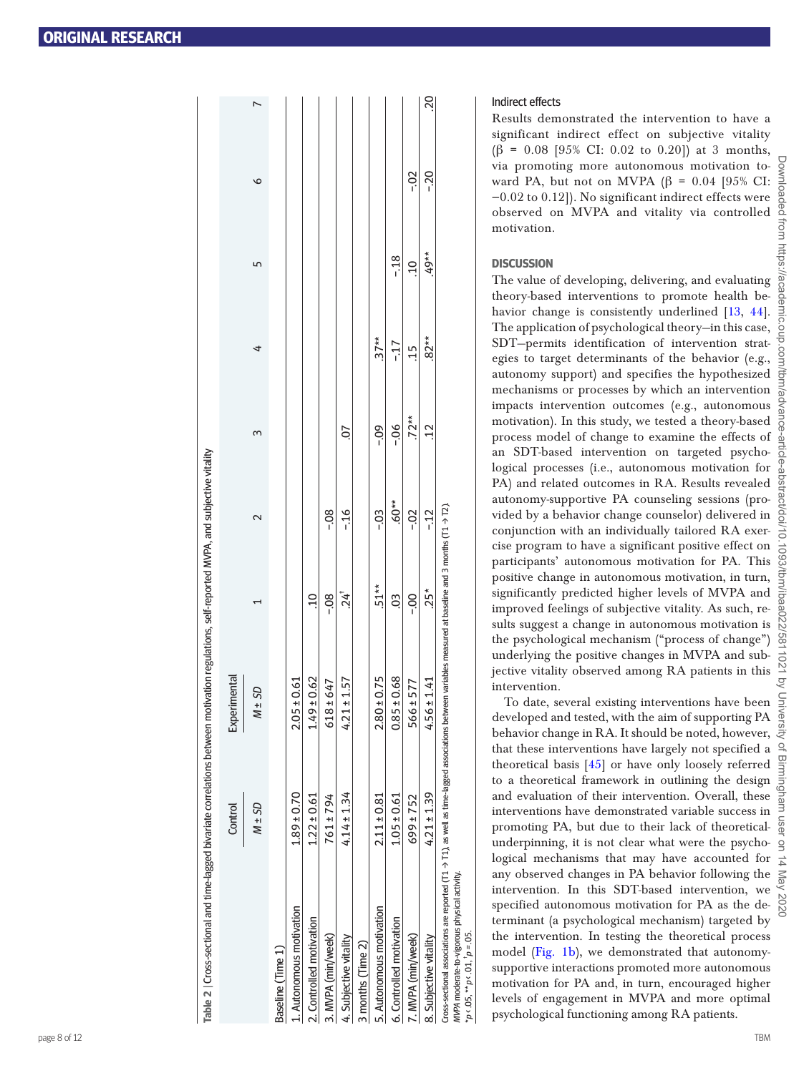| Table 2   Cross-sectional and time-lagged bivariate correlations between motivation regulations, self-reported MVPA, and subjective vitality                                                                                    |                 |                 |                    |         |                |         |        |        |          |
|---------------------------------------------------------------------------------------------------------------------------------------------------------------------------------------------------------------------------------|-----------------|-----------------|--------------------|---------|----------------|---------|--------|--------|----------|
|                                                                                                                                                                                                                                 | Control         | Experimental    |                    |         |                |         |        |        |          |
|                                                                                                                                                                                                                                 | $M \pm SD$      | $M \pm SD$      |                    |         |                | 4       | 5      | ৩      |          |
| Baseline (Time 1)                                                                                                                                                                                                               |                 |                 |                    |         |                |         |        |        |          |
| 1. Autonomous motivation                                                                                                                                                                                                        | $1.89 \pm 0.70$ | $2.05 \pm 0.61$ |                    |         |                |         |        |        |          |
| 2. Controlled motivation                                                                                                                                                                                                        | $1.22 \pm 0.61$ | $1.49 \pm 0.62$ | $\Xi$              |         |                |         |        |        |          |
| 3. MVPA (min/week)                                                                                                                                                                                                              | 761 ± 794       | $618 \pm 647$   | $-0.8$             | $-0.8$  |                |         |        |        |          |
| 4. Subjective vitality                                                                                                                                                                                                          | $4.14 \pm 1.34$ | $4.21 \pm 1.57$ | $24^{\frac{1}{4}}$ | $-16$   | $\overline{0}$ |         |        |        |          |
| 3 months (Time 2)                                                                                                                                                                                                               |                 |                 |                    |         |                |         |        |        |          |
| 5. Autonomous motivation                                                                                                                                                                                                        | $2.11 \pm 0.81$ | $2.80 \pm 0.75$ | $.51**$            | $-0.5$  | $-0.09$        | $.37**$ |        |        |          |
| 6. Controlled motivation                                                                                                                                                                                                        | $1.05 \pm 0.61$ | $0.85 \pm 0.68$ | $\ddot{\circ}$     | $.60**$ | $-0.06$        | $-17$   | $-18$  |        |          |
| 7. MVPA (min/week)                                                                                                                                                                                                              | $699 \pm 752$   | $566 \pm 577$   | $-00$              | $-0.2$  | $.72**$        | $-15$   | $\Xi$  | $-0.2$ |          |
| 8. Subjective vitality                                                                                                                                                                                                          | $4.21 \pm 1.39$ | $4.56 \pm 1.41$ | $.25*$             | $-12$   | $\frac{12}{1}$ | $82**$  | $49**$ | $-20$  | 20<br>20 |
| Cross-sectional associations are reported (T1 $\rightarrow$ T1), as well as time-lagged associations between variables measured at baseline and 3 months (T1 $\rightarrow$ T2).<br>MVPA moderate-to-vigorous physical activity. |                 |                 |                    |         |                |         |        |        |          |

#### Indirect effects

Results demonstrated the intervention to have a significant indirect effect on subjective vitality ( $\beta$  = 0.08 [95% CI: 0.02 to 0.20]) at 3 months, via promoting more autonomous motivation to ward PA, but not on MVPA ( $\beta$  = 0.04 [95% CI: −0.02 to 0.12]). No significant indirect effects were observed on MVPA and vitality via controlled motivation.

#### **DISCUSSION**

The value of developing, delivering, and evaluating theory-based interventions to promote health be - havior change is consistently underlined [[13](#page-12-5), [44\]](#page-12-36). The application of psychological theory—in this case, SDT—permits identification of intervention strategies to target determinants of the behavior (e.g., autonomy support) and specifies the hypothesized mechanisms or processes by which an intervention impacts intervention outcomes (e.g., autonomous motivation). In this study, we tested a theory-based process model of change to examine the effects of an SDT-based intervention on targeted psycho logical processes (i.e., autonomous motivation for PA) and related outcomes in RA. Results revealed autonomy-supportive PA counseling sessions (pro vided by a behavior change counselor) delivered in conjunction with an individually tailored RA exercise program to have a significant positive effect on participants' autonomous motivation for PA. This positive change in autonomous motivation, in turn, significantly predicted higher levels of MVPA and improved feelings of subjective vitality. As such, re sults suggest a change in autonomous motivation is the psychological mechanism ("process of change") underlying the positive changes in MVPA and sub jective vitality observed among RA patients in this intervention.

To date, several existing interventions have been developed and tested, with the aim of supporting PA behavior change in RA. It should be noted, however, that these interventions have largely not specified a theoretical basis [\[45\]](#page-12-37) or have only loosely referred to a theoretical framework in outlining the design and evaluation of their intervention. Overall, these interventions have demonstrated variable success in promoting PA, but due to their lack of theoreticalunderpinning, it is not clear what were the psychological mechanisms that may have accounted for any observed changes in PA behavior following the intervention. In this SDT-based intervention, we specified autonomous motivation for PA as the determinant (a psychological mechanism) targeted by the intervention. In testing the theoretical process model [\(Fig. 1b\)](#page-2-0), we demonstrated that autonomysupportive interactions promoted more autonomous motivation for PA and, in turn, encouraged higher levels of engagement in MVPA and more optimal psychological functioning among RA patients.

 $*p \leftarrow .05, **p \leftarrow .01, 'p = .05.$ 

<span id="page-8-0"></span>.05 é,

\*\* $p \times .01.^{\dagger} p = .05.$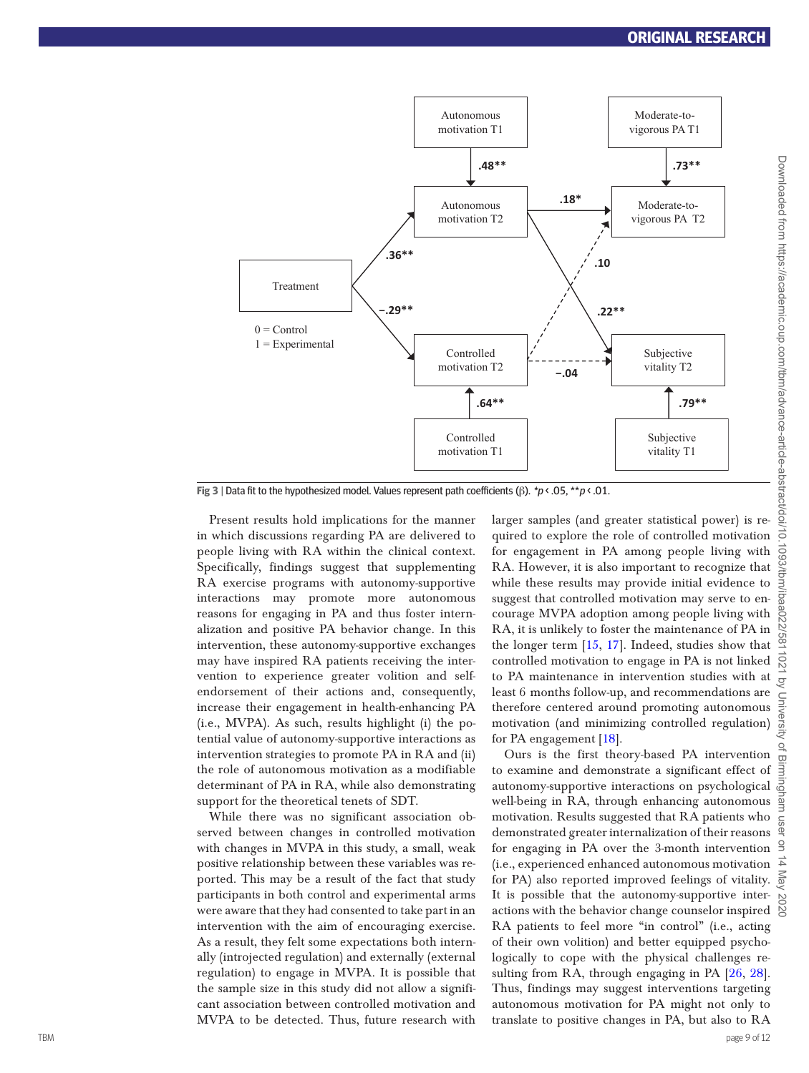

<span id="page-9-0"></span>**Fig 3** | Data fit to the hypothesized model. Values represent path coefficients (β). \*p < .05, \*\*p < .01.

Present results hold implications for the manner in which discussions regarding PA are delivered to people living with RA within the clinical context. Specifically, findings suggest that supplementing RA exercise programs with autonomy-supportive interactions may promote more autonomous reasons for engaging in PA and thus foster internalization and positive PA behavior change. In this intervention, these autonomy-supportive exchanges may have inspired RA patients receiving the intervention to experience greater volition and selfendorsement of their actions and, consequently, increase their engagement in health-enhancing PA (i.e., MVPA). As such, results highlight (i) the potential value of autonomy-supportive interactions as intervention strategies to promote PA in RA and (ii) the role of autonomous motivation as a modifiable determinant of PA in RA, while also demonstrating support for the theoretical tenets of SDT.

While there was no significant association observed between changes in controlled motivation with changes in MVPA in this study, a small, weak positive relationship between these variables was reported. This may be a result of the fact that study participants in both control and experimental arms were aware that they had consented to take part in an intervention with the aim of encouraging exercise. As a result, they felt some expectations both internally (introjected regulation) and externally (external regulation) to engage in MVPA. It is possible that the sample size in this study did not allow a significant association between controlled motivation and MVPA to be detected. Thus, future research with

larger samples (and greater statistical power) is required to explore the role of controlled motivation for engagement in PA among people living with RA. However, it is also important to recognize that while these results may provide initial evidence to suggest that controlled motivation may serve to encourage MVPA adoption among people living with RA, it is unlikely to foster the maintenance of PA in the longer term [\[15,](#page-12-7) [17\]](#page-12-9). Indeed, studies show that controlled motivation to engage in PA is not linked to PA maintenance in intervention studies with at least 6 months follow-up, and recommendations are therefore centered around promoting autonomous motivation (and minimizing controlled regulation) for PA engagement [\[18\]](#page-12-10).

Ours is the first theory-based PA intervention to examine and demonstrate a significant effect of autonomy-supportive interactions on psychological well-being in RA, through enhancing autonomous motivation. Results suggested that RA patients who demonstrated greater internalization of their reasons for engaging in PA over the 3-month intervention  $\frac{9}{2}$ (i.e., experienced enhanced autonomous motivation for PA) also reported improved feelings of vitality. It is possible that the autonomy-supportive interactions with the behavior change counselor inspired RA patients to feel more "in control" (i.e., acting of their own volition) and better equipped psychologically to cope with the physical challenges resulting from RA, through engaging in PA [\[26](#page-12-17), [28\]](#page-12-19). Thus, findings may suggest interventions targeting autonomous motivation for PA might not only to translate to positive changes in PA, but also to RA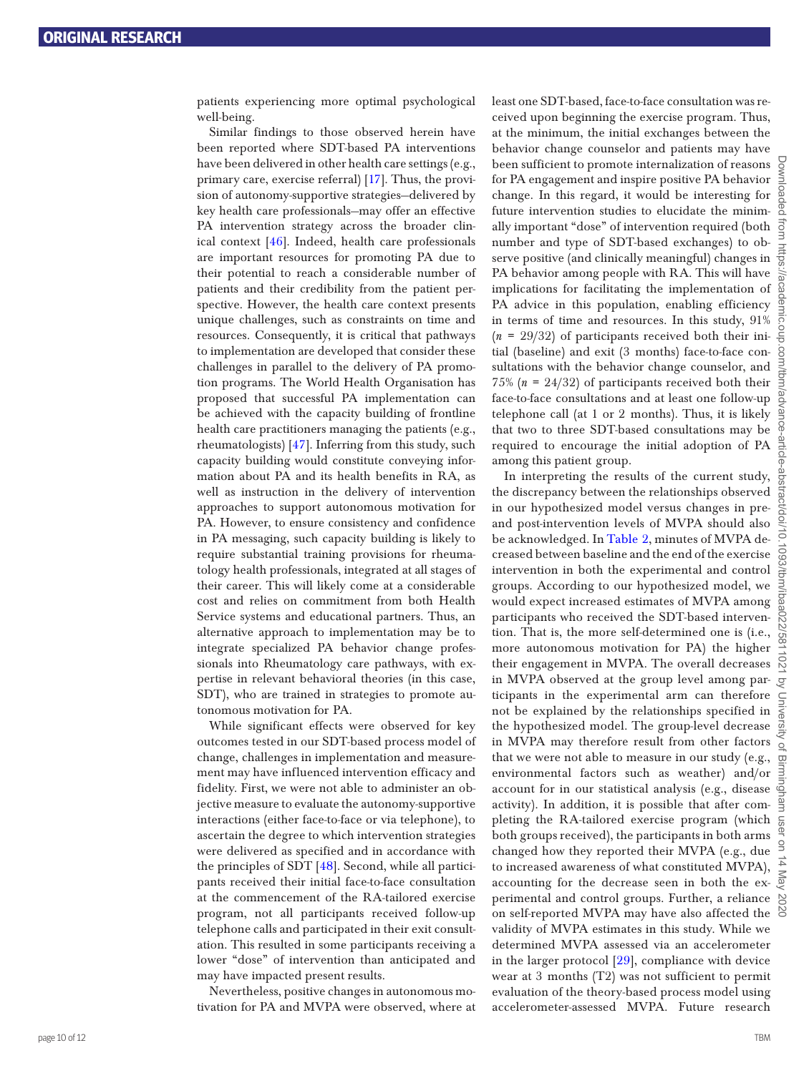patients experiencing more optimal psychological well-being.

Similar findings to those observed herein have been reported where SDT-based PA interventions have been delivered in other health care settings (e.g., primary care, exercise referral) [\[17](#page-12-9)]. Thus, the provision of autonomy-supportive strategies—delivered by key health care professionals—may offer an effective PA intervention strategy across the broader clinical context [\[46](#page-12-38)]. Indeed, health care professionals are important resources for promoting PA due to their potential to reach a considerable number of patients and their credibility from the patient perspective. However, the health care context presents unique challenges, such as constraints on time and resources. Consequently, it is critical that pathways to implementation are developed that consider these challenges in parallel to the delivery of PA promotion programs. The World Health Organisation has proposed that successful PA implementation can be achieved with the capacity building of frontline health care practitioners managing the patients (e.g., rheumatologists) [\[47](#page-12-39)]. Inferring from this study, such capacity building would constitute conveying information about PA and its health benefits in RA, as well as instruction in the delivery of intervention approaches to support autonomous motivation for PA. However, to ensure consistency and confidence in PA messaging, such capacity building is likely to require substantial training provisions for rheumatology health professionals, integrated at all stages of their career. This will likely come at a considerable cost and relies on commitment from both Health Service systems and educational partners. Thus, an alternative approach to implementation may be to integrate specialized PA behavior change professionals into Rheumatology care pathways, with expertise in relevant behavioral theories (in this case, SDT), who are trained in strategies to promote autonomous motivation for PA.

While significant effects were observed for key outcomes tested in our SDT-based process model of change, challenges in implementation and measurement may have influenced intervention efficacy and fidelity. First, we were not able to administer an objective measure to evaluate the autonomy-supportive interactions (either face-to-face or via telephone), to ascertain the degree to which intervention strategies were delivered as specified and in accordance with the principles of SDT [\[48](#page-12-40)]. Second, while all participants received their initial face-to-face consultation at the commencement of the RA-tailored exercise program, not all participants received follow-up telephone calls and participated in their exit consultation. This resulted in some participants receiving a lower "dose" of intervention than anticipated and may have impacted present results.

Nevertheless, positive changes in autonomous motivation for PA and MVPA were observed, where at

least one SDT-based, face-to-face consultation was received upon beginning the exercise program. Thus, at the minimum, the initial exchanges between the behavior change counselor and patients may have been sufficient to promote internalization of reasons  $\frac{1}{9}$ for PA engagement and inspire positive PA behavior change. In this regard, it would be interesting for future intervention studies to elucidate the minimally important "dose" of intervention required (both number and type of SDT-based exchanges) to observe positive (and clinically meaningful) changes in  $\frac{1}{6}$ PA behavior among people with RA. This will have PA behavior among people with RA. This will have  $\frac{5}{8}$  implications for facilitating the implementation of  $\frac{6}{8}$ PA advice in this population, enabling efficiency in terms of time and resources. In this study, 91%  $(n = 29/32)$  of participants received both their initial (baseline) and exit (3 months) face-to-face consultations with the behavior change counselor, and 75% (*n* = 24/32) of participants received both their face-to-face consultations and at least one follow-up telephone call (at 1 or 2 months). Thus, it is likely that two to three SDT-based consultations may be required to encourage the initial adoption of PA among this patient group.

In interpreting the results of the current study, the discrepancy between the relationships observed in our hypothesized model versus changes in preand post-intervention levels of MVPA should also be acknowledged. In [Table 2,](#page-8-0) minutes of MVPA decreased between baseline and the end of the exercise intervention in both the experimental and control groups. According to our hypothesized model, we would expect increased estimates of MVPA among participants who received the SDT-based intervention. That is, the more self-determined one is (i.e., more autonomous motivation for PA) the higher their engagement in MVPA. The overall decreases in MVPA observed at the group level among participants in the experimental arm can therefore not be explained by the relationships specified in the hypothesized model. The group-level decrease in MVPA may therefore result from other factors that we were not able to measure in our study (e.g., environmental factors such as weather) and/or account for in our statistical analysis (e.g., disease  $\Phi$ activity). In addition, it is possible that after completing the RA-tailored exercise program (which both groups received), the participants in both arms changed how they reported their MVPA (e.g., due to increased awareness of what constituted MVPA), accounting for the decrease seen in both the experimental and control groups. Further, a reliance on self-reported MVPA may have also affected the validity of MVPA estimates in this study. While we determined MVPA assessed via an accelerometer in the larger protocol [[29](#page-12-20)], compliance with device wear at 3 months (T2) was not sufficient to permit evaluation of the theory-based process model using accelerometer-assessed MVPA. Future research

Downloaded from https://academic.oup.com/tbm/advance-article-abstract/doi/10.1093/tbm/ibaa022/5811021 by University of Birmingham user on 14 May 2020

ō

 $\subseteq$ 

 $\circ$ 꾛

**Ilop/Joe11sge** 

S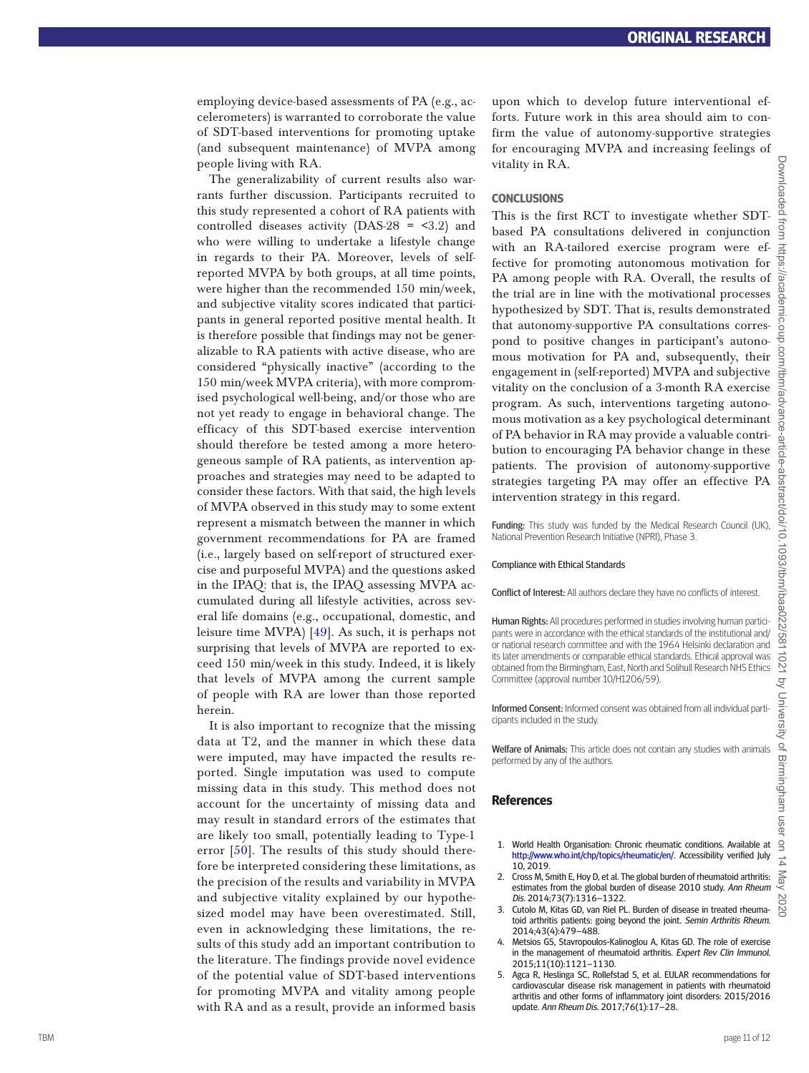employing device-based assessments of PA (e.g., ac celerometers) is warranted to corroborate the value of SDT-based interventions for promoting uptake (and subsequent maintenance) of MVPA among people living with RA.

The generalizability of current results also warrants further discussion. Participants recruited to this study represented a cohort of RA patients with controlled diseases activity  $(DAS-28 = 3.2)$  and who were willing to undertake a lifestyle change in regards to their PA. Moreover, levels of selfreported MVPA by both groups, at all time points, were higher than the recommended 150 min/week, and subjective vitality scores indicated that partici pants in general reported positive mental health. It is therefore possible that findings may not be generalizable to RA patients with active disease, who are considered "physically inactive" (according to the 150 min/week MVPA criteria), with more comprom ised psychological well-being, and/or those who are not yet ready to engage in behavioral change. The efficacy of this SDT-based exercise intervention should therefore be tested among a more hetero geneous sample of RA patients, as intervention ap proaches and strategies may need to be adapted to consider these factors. With that said, the high levels of MVPA observed in this study may to some extent represent a mismatch between the manner in which government recommendations for PA are framed (i.e., largely based on self-report of structured exercise and purposeful MVPA) and the questions asked in the IPAQ: that is, the IPAQ assessing MVPA ac cumulated during all lifestyle activities, across sev eral life domains (e.g., occupational, domestic, and leisure time MVPA) [[49\]](#page-12-41). As such, it is perhaps not surprising that levels of MVPA are reported to ex ceed 150 min/week in this study. Indeed, it is likely that levels of MVPA among the current sample of people with RA are lower than those reported herein.

It is also important to recognize that the missing data at T2, and the manner in which these data were imputed, may have impacted the results re ported. Single imputation was used to compute missing data in this study. This method does not account for the uncertainty of missing data and may result in standard errors of the estimates that are likely too small, potentially leading to Type-1 error [\[50](#page-12-42)]. The results of this study should therefore be interpreted considering these limitations, as the precision of the results and variability in MVPA and subjective vitality explained by our hypothe sized model may have been overestimated. Still, even in acknowledging these limitations, the re sults of this study add an important contribution to the literature. The findings provide novel evidence of the potential value of SDT-based interventions for promoting MVPA and vitality among people with RA and as a result, provide an informed basis

upon which to develop future interventional efforts. Future work in this area should aim to confirm the value of autonomy-supportive strategies for encouraging MVPA and increasing feelings of vitality in RA.

#### **CONCLUSIONS**

This is the first RCT to investigate whether SDTbased PA consultations delivered in conjunction with an RA-tailored exercise program were effective for promoting autonomous motivation for PA among people with RA. Overall, the results of the trial are in line with the motivational processes hypothesized by SDT. That is, results demonstrated that autonomy-supportive PA consultations corres pond to positive changes in participant's autono mous motivation for PA and, subsequently, their engagement in (self-reported) MVPA and subjective vitality on the conclusion of a 3-month RA exercise program. As such, interventions targeting autono mous motivation as a key psychological determinant of PA behavior in RA may provide a valuable contri bution to encouraging PA behavior change in these patients. The provision of autonomy-supportive strategies targeting PA may offer an effective PA intervention strategy in this regard.

Funding: This study was funded by the Medical Research Council (UK) National Prevention Research Initiative (NPRI), Phase 3.

#### Compliance with Ethical Standards

Conflict of Interest: All authors declare they have no conflicts of interest.

Human Rights: All procedures performed in studies involving human participants were in accordance with the ethical standards of the institutional and/ or national research committee and with the 1964 Helsinki declaration and its later amendments or comparable ethical standards. Ethical approval was obtained from the Birmingham, East, North and Solihull Research NHS Ethics Committee (approval number 10/H1206/59).

Informed Consent: Informed consent was obtained from all individual parti cipants included in the study.

Welfare of Animals: This article does not contain any studies with animals performed by any of the authors.

#### **References**

- <span id="page-11-0"></span>1. World Health Organisation: Chronic rheumatic conditions. Available at <http://www.who.int/chp/topics/rheumatic/en/> . Accessibility verified July 10, 2019.
- <span id="page-11-1"></span>2. Cross M, Smith E, Hoy D, et al. The global burden of rheumatoid arthritis: estimates from the global burden of disease 2010 study. Ann Rheum Dis. 2014;73(7):1316–1322.
- <span id="page-11-2"></span>3. Cutolo M, Kitas GD, van Riel PL. Burden of disease in treated rheuma toid arthritis patients: going beyond the joint. Semin Arthritis Rheum. 2014;43(4):479–488.
- <span id="page-11-3"></span>4. Metsios GS, Stavropoulos-Kalinoglou A, Kitas GD. The role of exercise in the management of rheumatoid arthritis. Expert Rev Clin Immunol. 2015;11(10):1121–1130.
- 5. Agca R, Heslinga SC, Rollefstad S, et al. EULAR recommendations for cardiovascular disease risk management in patients with rheumatoid arthritis and other forms of inflammatory joint disorders: 2015/2016 update. Ann Rheum Dis. 2017;76(1):17–28.